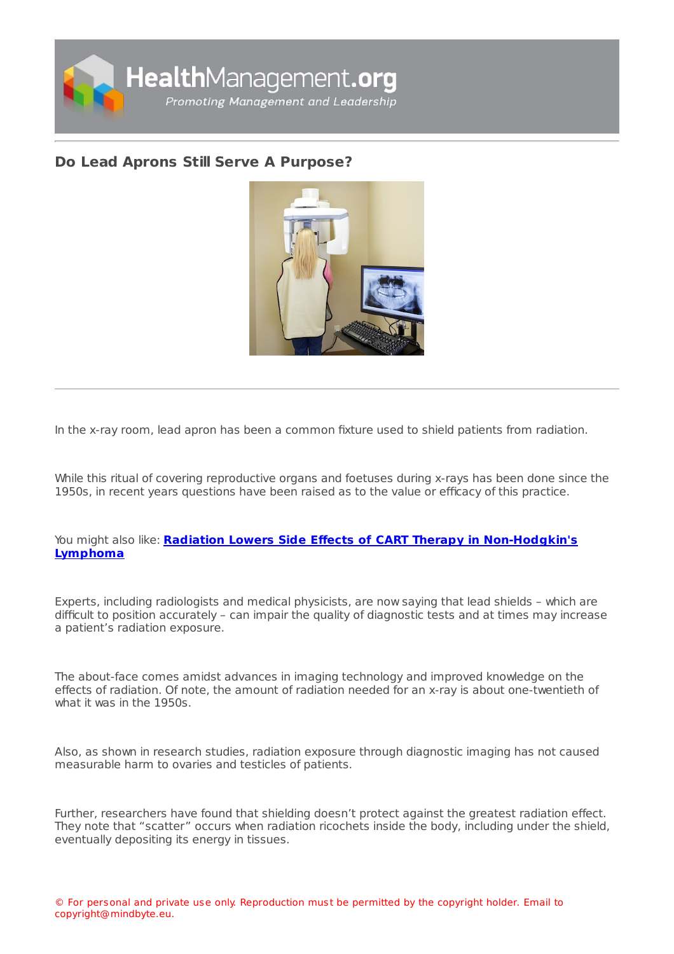

## **Do Lead Aprons Still Serve A [Purpose?](https://healthmanagement.org/s/do-lead-aprons-still-serve-a-purpose)**



In the x-ray room, lead apron has been a common fixture used to shield patients from radiation.

While this ritual of covering reproductive organs and foetuses during x-rays has been done since the 1950s, in recent years questions have been raised as to the value or efficacy of this practice.

## You might also like: **Radiation Lowers Side Effects of CART Therapy in [Non-Hodgkin's](https://healthmanagement.org/c/imaging/news/radiation-lowers-side-effects-of-car-t-therapy-in-non-hodgkin-s-lymphoma) Lymphoma**

Experts, including radiologists and medical physicists, are now saying that lead shields – which are difficult to position accurately – can impair the quality of diagnostic tests and at times may increase a patient's radiation exposure.

The about-face comes amidst advances in imaging technology and improved knowledge on the effects of radiation. Of note, the amount of radiation needed for an x-ray is about one-twentieth of what it was in the 1950s.

Also, as shown in research studies, radiation exposure through diagnostic imaging has not caused measurable harm to ovaries and testicles of patients.

Further, researchers have found that shielding doesn't protect against the greatest radiation effect. They note that "scatter" occurs when radiation ricochets inside the body, including under the shield, eventually depositing its energy in tissues.